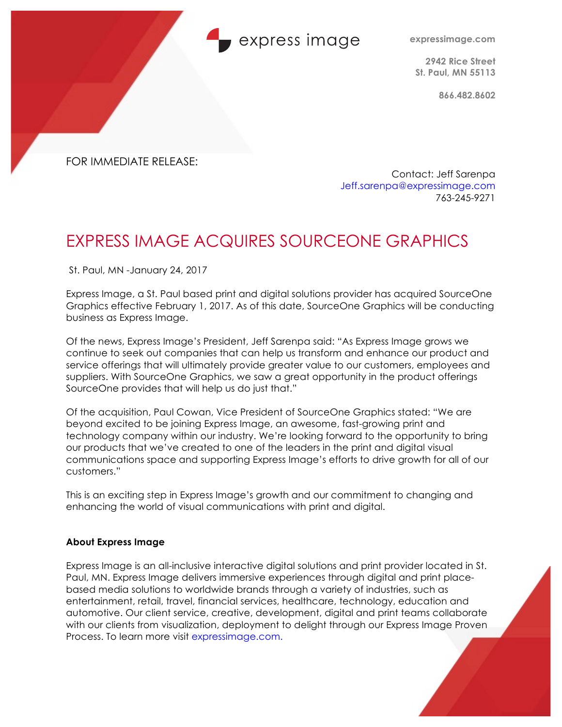### express image

**expressimage.com**

**2942 Rice Street St. Paul, MN 55113**

**866.482.8602**

FOR IMMEDIATE RELEASE:

Contact: Jeff Sarenpa Jeff.sarenpa@expressimage.com 763-245-9271

# EXPRESS IMAGE ACQUIRES SOURCEONE GRAPHICS

St. Paul, MN -January 24, 2017

Express Image, a St. Paul based print and digital solutions provider has acquired SourceOne Graphics effective February 1, 2017. As of this date, SourceOne Graphics will be conducting business as Express Image.

Of the news, Express Image's President, Jeff Sarenpa said: "As Express Image grows we continue to seek out companies that can help us transform and enhance our product and service offerings that will ultimately provide greater value to our customers, employees and suppliers. With SourceOne Graphics, we saw a great opportunity in the product offerings SourceOne provides that will help us do just that."

Of the acquisition, Paul Cowan, Vice President of SourceOne Graphics stated: "We are beyond excited to be joining Express Image, an awesome, fast-growing print and technology company within our industry. We're looking forward to the opportunity to bring our products that we've created to one of the leaders in the print and digital visual communications space and supporting Express Image's efforts to drive growth for all of our customers."

This is an exciting step in Express Image's growth and our commitment to changing and enhancing the world of visual communications with print and digital.

#### **About Express Image**

Express Image is an all-inclusive interactive digital solutions and print provider located in St. Paul, MN. Express Image delivers immersive experiences through digital and print placebased media solutions to worldwide brands through a variety of industries, such as entertainment, retail, travel, financial services, healthcare, technology, education and automotive. Our client service, creative, development, digital and print teams collaborate with our clients from visualization, deployment to delight through our Express Image Proven Process. To learn more visit expressimage.com.